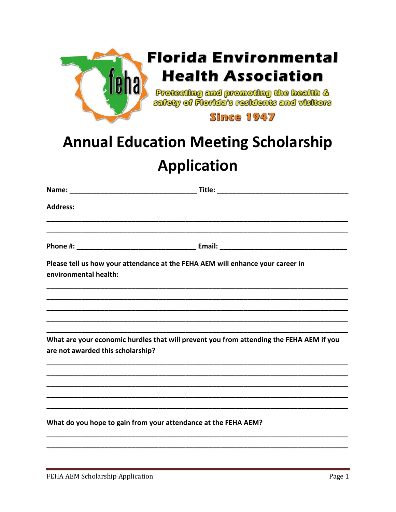

## **Annual Education Meeting Scholarship Application**

| <b>Address:</b>                   |                                                                                                                                                            |  |
|-----------------------------------|------------------------------------------------------------------------------------------------------------------------------------------------------------|--|
|                                   |                                                                                                                                                            |  |
|                                   |                                                                                                                                                            |  |
| environmental health:             | Please tell us how your attendance at the FEHA AEM will enhance your career in                                                                             |  |
|                                   |                                                                                                                                                            |  |
|                                   |                                                                                                                                                            |  |
|                                   |                                                                                                                                                            |  |
| are not awarded this scholarship? | What are your economic hurdles that will prevent you from attending the FEHA AEM if you<br><u> 1980 - Jan Barnett, fransk fotballski politik (d. 1980)</u> |  |
|                                   |                                                                                                                                                            |  |
|                                   |                                                                                                                                                            |  |
|                                   |                                                                                                                                                            |  |
|                                   |                                                                                                                                                            |  |
|                                   | What do you hope to gain from your attendance at the FEHA AEM?                                                                                             |  |